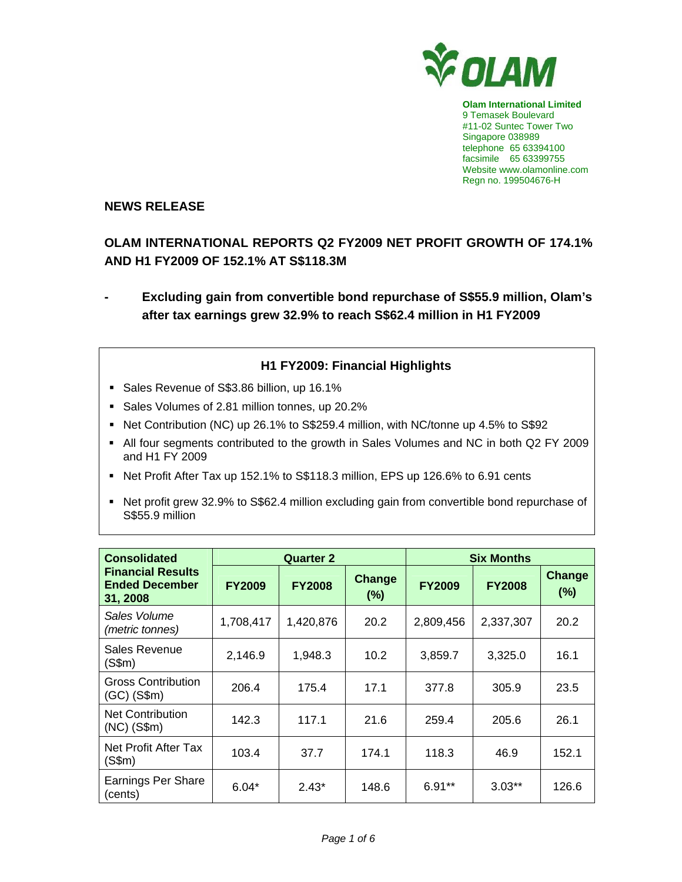

**Olam International Limited**  9 Temasek Boulevard #11-02 Suntec Tower Two Singapore 038989 telephone 65 63394100 facsimile 65 63399755 Website www.olamonline.com Regn no. 199504676-H

# **NEWS RELEASE**

# **OLAM INTERNATIONAL REPORTS Q2 FY2009 NET PROFIT GROWTH OF 174.1% AND H1 FY2009 OF 152.1% AT S\$118.3M**

**- Excluding gain from convertible bond repurchase of S\$55.9 million, Olam's after tax earnings grew 32.9% to reach S\$62.4 million in H1 FY2009** 

# **H1 FY2009: Financial Highlights**

- Sales Revenue of S\$3.86 billion, up 16.1%
- Sales Volumes of 2.81 million tonnes, up 20.2%
- Net Contribution (NC) up 26.1% to S\$259.4 million, with NC/tonne up 4.5% to S\$92
- All four segments contributed to the growth in Sales Volumes and NC in both Q2 FY 2009 and H1 FY 2009
- Net Profit After Tax up 152.1% to S\$118.3 million, EPS up 126.6% to 6.91 cents
- Net profit grew 32.9% to S\$62.4 million excluding gain from convertible bond repurchase of S\$55.9 million

| <b>Consolidated</b>                                           | <b>Quarter 2</b> |               |                   | <b>Six Months</b> |               |                      |
|---------------------------------------------------------------|------------------|---------------|-------------------|-------------------|---------------|----------------------|
| <b>Financial Results</b><br><b>Ended December</b><br>31, 2008 | <b>FY2009</b>    | <b>FY2008</b> | Change<br>$(\% )$ | <b>FY2009</b>     | <b>FY2008</b> | <b>Change</b><br>(%) |
| Sales Volume<br>(metric tonnes)                               | 1,708,417        | 1,420,876     | 20.2              | 2,809,456         | 2,337,307     | 20.2                 |
| Sales Revenue<br>(S\$m)                                       | 2,146.9          | 1,948.3       | 10.2              | 3,859.7           | 3,325.0       | 16.1                 |
| <b>Gross Contribution</b><br>$(GC)$ $(S$m)$                   | 206.4            | 175.4         | 17.1              | 377.8             | 305.9         | 23.5                 |
| <b>Net Contribution</b><br>$(NC)$ $(S$m)$                     | 142.3            | 117.1         | 21.6              | 259.4             | 205.6         | 26.1                 |
| Net Profit After Tax<br>(S\$m)                                | 103.4            | 37.7          | 174.1             | 118.3             | 46.9          | 152.1                |
| Earnings Per Share<br>(cents)                                 | $6.04*$          | $2.43*$       | 148.6             | $6.91**$          | $3.03**$      | 126.6                |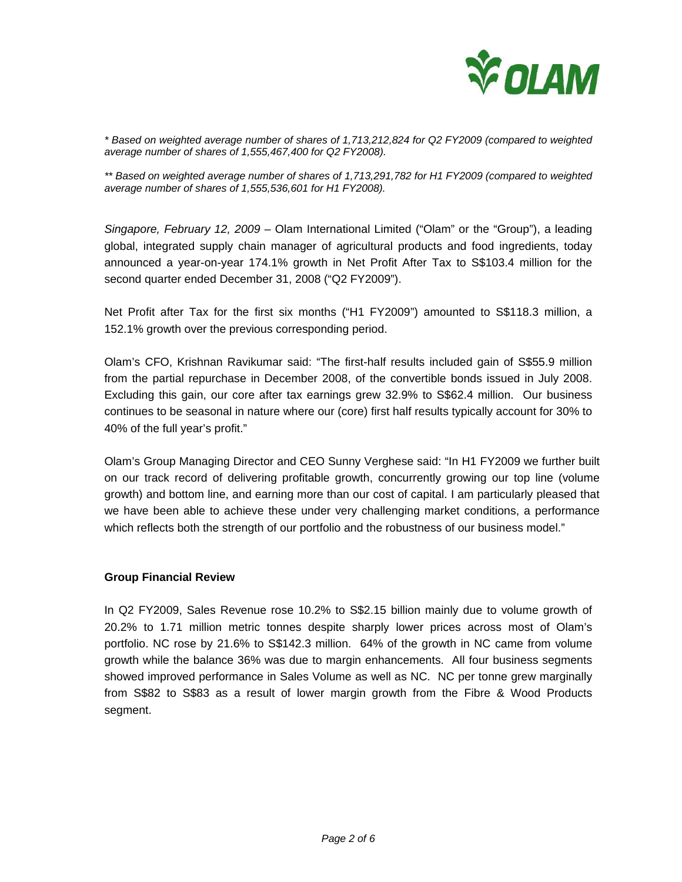

*\* Based on weighted average number of shares of 1,713,212,824 for Q2 FY2009 (compared to weighted average number of shares of 1,555,467,400 for Q2 FY2008).* 

*\*\* Based on weighted average number of shares of 1,713,291,782 for H1 FY2009 (compared to weighted average number of shares of 1,555,536,601 for H1 FY2008).* 

*Singapore, February 12, 2009 –* Olam International Limited ("Olam" or the "Group"), a leading global, integrated supply chain manager of agricultural products and food ingredients, today announced a year-on-year 174.1% growth in Net Profit After Tax to S\$103.4 million for the second quarter ended December 31, 2008 ("Q2 FY2009").

Net Profit after Tax for the first six months ("H1 FY2009") amounted to S\$118.3 million, a 152.1% growth over the previous corresponding period.

Olam's CFO, Krishnan Ravikumar said: "The first-half results included gain of S\$55.9 million from the partial repurchase in December 2008, of the convertible bonds issued in July 2008. Excluding this gain, our core after tax earnings grew 32.9% to S\$62.4 million. Our business continues to be seasonal in nature where our (core) first half results typically account for 30% to 40% of the full year's profit."

Olam's Group Managing Director and CEO Sunny Verghese said: "In H1 FY2009 we further built on our track record of delivering profitable growth, concurrently growing our top line (volume growth) and bottom line, and earning more than our cost of capital. I am particularly pleased that we have been able to achieve these under very challenging market conditions, a performance which reflects both the strength of our portfolio and the robustness of our business model."

#### **Group Financial Review**

In Q2 FY2009, Sales Revenue rose 10.2% to S\$2.15 billion mainly due to volume growth of 20.2% to 1.71 million metric tonnes despite sharply lower prices across most of Olam's portfolio. NC rose by 21.6% to S\$142.3 million. 64% of the growth in NC came from volume growth while the balance 36% was due to margin enhancements. All four business segments showed improved performance in Sales Volume as well as NC. NC per tonne grew marginally from S\$82 to S\$83 as a result of lower margin growth from the Fibre & Wood Products segment.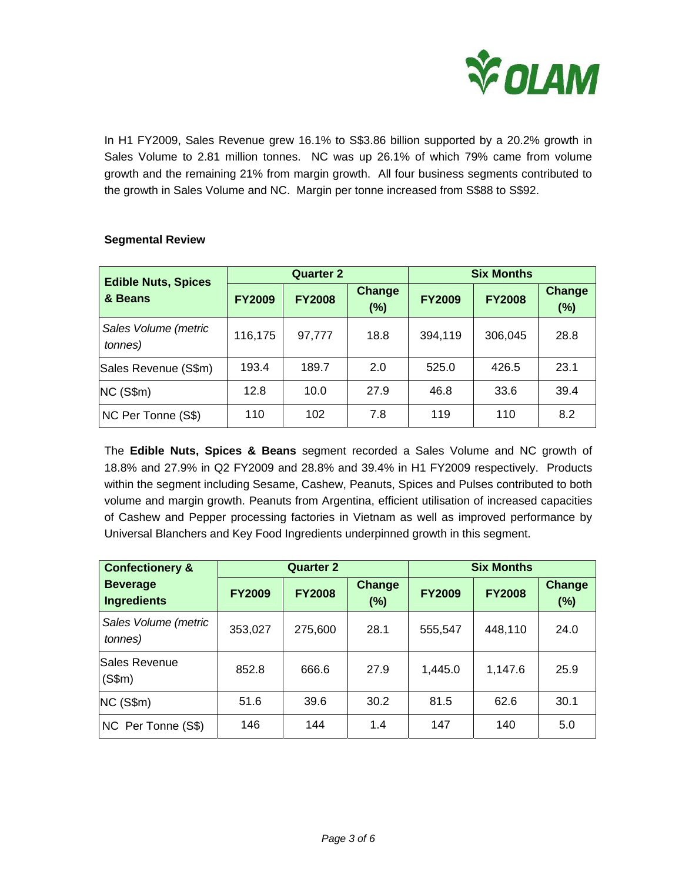

In H1 FY2009, Sales Revenue grew 16.1% to S\$3.86 billion supported by a 20.2% growth in Sales Volume to 2.81 million tonnes. NC was up 26.1% of which 79% came from volume growth and the remaining 21% from margin growth. All four business segments contributed to the growth in Sales Volume and NC. Margin per tonne increased from S\$88 to S\$92.

| <b>Edible Nuts, Spices</b>      | <b>Quarter 2</b> |               |                         | <b>Six Months</b> |               |                      |
|---------------------------------|------------------|---------------|-------------------------|-------------------|---------------|----------------------|
| & Beans                         | <b>FY2009</b>    | <b>FY2008</b> | <b>Change</b><br>$(\%)$ | <b>FY2009</b>     | <b>FY2008</b> | <b>Change</b><br>(%) |
| Sales Volume (metric<br>tonnes) | 116,175          | 97,777        | 18.8                    | 394,119           | 306,045       | 28.8                 |
| Sales Revenue (S\$m)            | 193.4            | 189.7         | 2.0                     | 525.0             | 426.5         | 23.1                 |
| NC(S\$m)                        | 12.8             | 10.0          | 27.9                    | 46.8              | 33.6          | 39.4                 |
| NC Per Tonne (S\$)              | 110              | 102           | 7.8                     | 119               | 110           | 8.2                  |

## **Segmental Review**

The **Edible Nuts, Spices & Beans** segment recorded a Sales Volume and NC growth of 18.8% and 27.9% in Q2 FY2009 and 28.8% and 39.4% in H1 FY2009 respectively. Products within the segment including Sesame, Cashew, Peanuts, Spices and Pulses contributed to both volume and margin growth. Peanuts from Argentina, efficient utilisation of increased capacities of Cashew and Pepper processing factories in Vietnam as well as improved performance by Universal Blanchers and Key Food Ingredients underpinned growth in this segment.

| <b>Confectionery &amp;</b>              | <b>Quarter 2</b> |               |                         | <b>Six Months</b> |               |                         |
|-----------------------------------------|------------------|---------------|-------------------------|-------------------|---------------|-------------------------|
| <b>Beverage</b><br><b>Ingredients</b>   | <b>FY2009</b>    | <b>FY2008</b> | <b>Change</b><br>$(\%)$ | <b>FY2009</b>     | <b>FY2008</b> | <b>Change</b><br>$(\%)$ |
| Sales Volume (metric<br><i>tonnes</i> ) | 353,027          | 275,600       | 28.1                    | 555,547           | 448,110       | 24.0                    |
| Sales Revenue<br>(S\$m)                 | 852.8            | 666.6         | 27.9                    | 1,445.0           | 1,147.6       | 25.9                    |
| NC(S\$m)                                | 51.6             | 39.6          | 30.2                    | 81.5              | 62.6          | 30.1                    |
| NC Per Tonne (S\$)                      | 146              | 144           | 1.4                     | 147               | 140           | 5.0                     |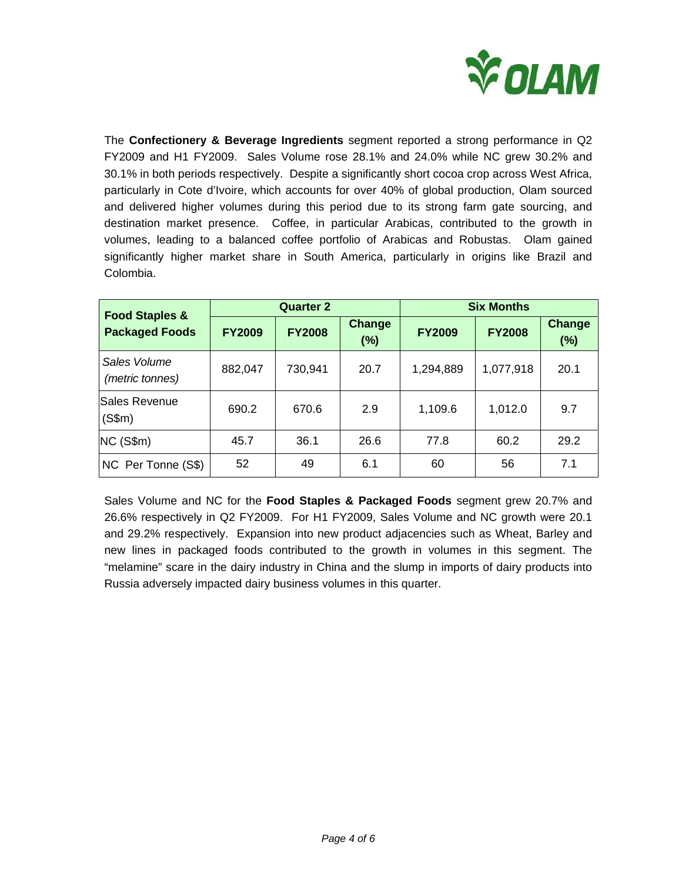

The **Confectionery & Beverage Ingredients** segment reported a strong performance in Q2 FY2009 and H1 FY2009. Sales Volume rose 28.1% and 24.0% while NC grew 30.2% and 30.1% in both periods respectively. Despite a significantly short cocoa crop across West Africa, particularly in Cote d'Ivoire, which accounts for over 40% of global production, Olam sourced and delivered higher volumes during this period due to its strong farm gate sourcing, and destination market presence. Coffee, in particular Arabicas, contributed to the growth in volumes, leading to a balanced coffee portfolio of Arabicas and Robustas. Olam gained significantly higher market share in South America, particularly in origins like Brazil and Colombia.

| <b>Food Staples &amp;</b><br><b>Packaged Foods</b> |               | <b>Quarter 2</b> |                         | <b>Six Months</b> |               |                      |
|----------------------------------------------------|---------------|------------------|-------------------------|-------------------|---------------|----------------------|
|                                                    | <b>FY2009</b> | <b>FY2008</b>    | <b>Change</b><br>$(\%)$ | <b>FY2009</b>     | <b>FY2008</b> | <b>Change</b><br>(%) |
| Sales Volume<br>(metric tonnes)                    | 882,047       | 730,941          | 20.7                    | 1,294,889         | 1,077,918     | 20.1                 |
| Sales Revenue<br>(S\$m)                            | 690.2         | 670.6            | 2.9                     | 1,109.6           | 1,012.0       | 9.7                  |
| NC (S\$m)                                          | 45.7          | 36.1             | 26.6                    | 77.8              | 60.2          | 29.2                 |
| NC Per Tonne (S\$)                                 | 52            | 49               | 6.1                     | 60                | 56            | 7.1                  |

Sales Volume and NC for the **Food Staples & Packaged Foods** segment grew 20.7% and 26.6% respectively in Q2 FY2009. For H1 FY2009, Sales Volume and NC growth were 20.1 and 29.2% respectively. Expansion into new product adjacencies such as Wheat, Barley and new lines in packaged foods contributed to the growth in volumes in this segment. The "melamine" scare in the dairy industry in China and the slump in imports of dairy products into Russia adversely impacted dairy business volumes in this quarter.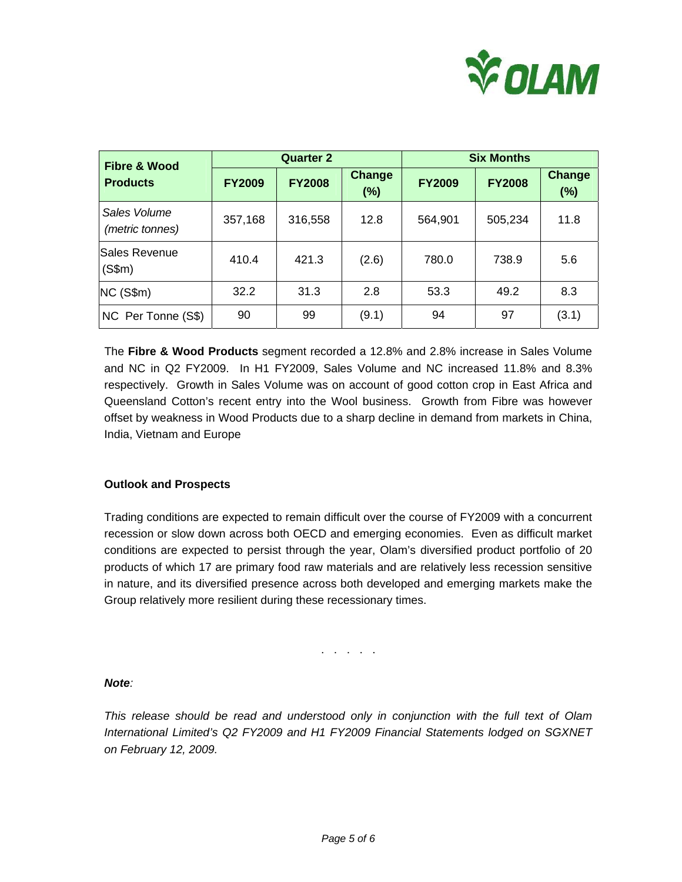

| <b>Fibre &amp; Wood</b><br><b>Products</b> |               | <b>Quarter 2</b> |                      | <b>Six Months</b> |               |                      |
|--------------------------------------------|---------------|------------------|----------------------|-------------------|---------------|----------------------|
|                                            | <b>FY2009</b> | <b>FY2008</b>    | <b>Change</b><br>(%) | <b>FY2009</b>     | <b>FY2008</b> | <b>Change</b><br>(%) |
| Sales Volume<br>(metric tonnes)            | 357,168       | 316,558          | 12.8                 | 564,901           | 505,234       | 11.8                 |
| <b>Sales Revenue</b><br>(S\$m)             | 410.4         | 421.3            | (2.6)                | 780.0             | 738.9         | 5.6                  |
| NC(S\$m)                                   | 32.2          | 31.3             | 2.8                  | 53.3              | 49.2          | 8.3                  |
| NC Per Tonne (S\$)                         | 90            | 99               | (9.1)                | 94                | 97            | (3.1)                |

The **Fibre & Wood Products** segment recorded a 12.8% and 2.8% increase in Sales Volume and NC in Q2 FY2009. In H1 FY2009, Sales Volume and NC increased 11.8% and 8.3% respectively. Growth in Sales Volume was on account of good cotton crop in East Africa and Queensland Cotton's recent entry into the Wool business. Growth from Fibre was however offset by weakness in Wood Products due to a sharp decline in demand from markets in China, India, Vietnam and Europe

### **Outlook and Prospects**

Trading conditions are expected to remain difficult over the course of FY2009 with a concurrent recession or slow down across both OECD and emerging economies. Even as difficult market conditions are expected to persist through the year, Olam's diversified product portfolio of 20 products of which 17 are primary food raw materials and are relatively less recession sensitive in nature, and its diversified presence across both developed and emerging markets make the Group relatively more resilient during these recessionary times.

. . . . .

### *Note:*

*This release should be read and understood only in conjunction with the full text of Olam International Limited's Q2 FY2009 and H1 FY2009 Financial Statements lodged on SGXNET on February 12, 2009.*